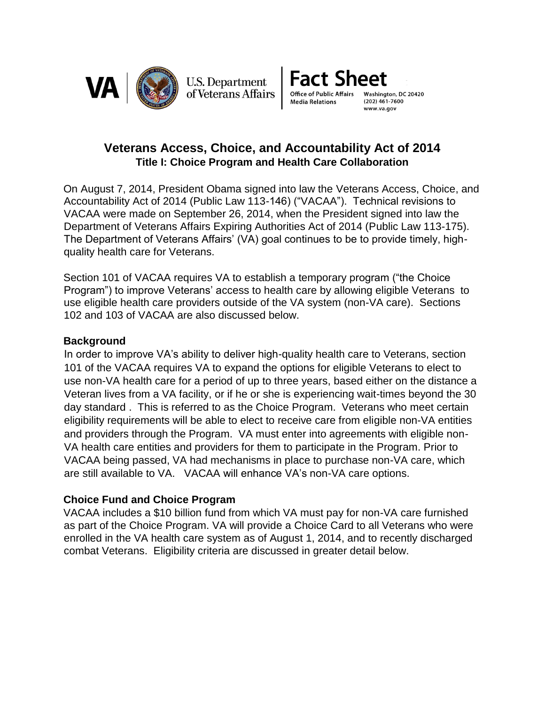

**U.S. Department** of Veterans Affairs



**Veterans Access, Choice, and Accountability Act of 2014 Title I: Choice Program and Health Care Collaboration** 

On August 7, 2014, President Obama signed into law the Veterans Access, Choice, and Accountability Act of 2014 (Public Law 113-146) ("VACAA"). Technical revisions to VACAA were made on September 26, 2014, when the President signed into law the Department of Veterans Affairs Expiring Authorities Act of 2014 (Public Law 113-175). The Department of Veterans Affairs' (VA) goal continues to be to provide timely, highquality health care for Veterans.

Section 101 of VACAA requires VA to establish a temporary program ("the Choice Program") to improve Veterans' access to health care by allowing eligible Veterans to use eligible health care providers outside of the VA system (non-VA care). Sections 102 and 103 of VACAA are also discussed below.

### **Background**

In order to improve VA's ability to deliver high-quality health care to Veterans, section 101 of the VACAA requires VA to expand the options for eligible Veterans to elect to use non-VA health care for a period of up to three years, based either on the distance a Veteran lives from a VA facility, or if he or she is experiencing wait-times beyond the 30 day standard . This is referred to as the Choice Program. Veterans who meet certain eligibility requirements will be able to elect to receive care from eligible non-VA entities and providers through the Program. VA must enter into agreements with eligible non-VA health care entities and providers for them to participate in the Program. Prior to VACAA being passed, VA had mechanisms in place to purchase non-VA care, which are still available to VA. VACAA will enhance VA's non-VA care options.

## **Choice Fund and Choice Program**

VACAA includes a \$10 billion fund from which VA must pay for non-VA care furnished as part of the Choice Program. VA will provide a Choice Card to all Veterans who were enrolled in the VA health care system as of August 1, 2014, and to recently discharged combat Veterans. Eligibility criteria are discussed in greater detail below.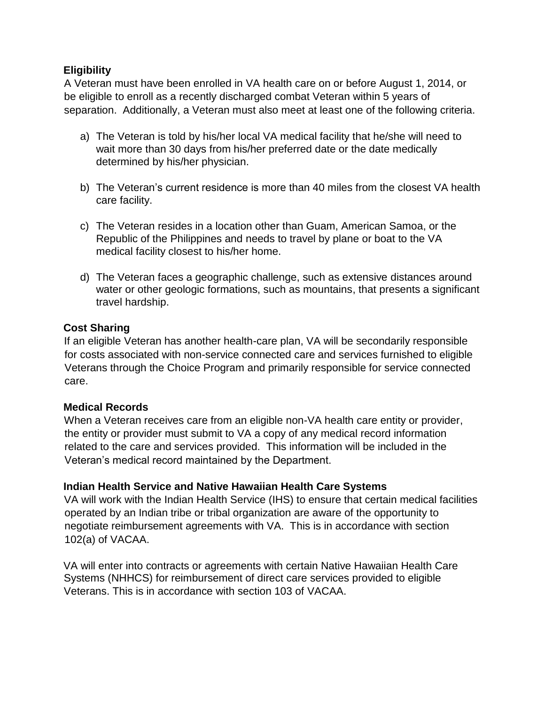## **Eligibility**

A Veteran must have been enrolled in VA health care on or before August 1, 2014, or be eligible to enroll as a recently discharged combat Veteran within 5 years of separation. Additionally, a Veteran must also meet at least one of the following criteria.

- a) The Veteran is told by his/her local VA medical facility that he/she will need to wait more than 30 days from his/her preferred date or the date medically determined by his/her physician.
- b) The Veteran's current residence is more than 40 miles from the closest VA health care facility.
- c) The Veteran resides in a location other than Guam, American Samoa, or the Republic of the Philippines and needs to travel by plane or boat to the VA medical facility closest to his/her home.
- d) The Veteran faces a geographic challenge, such as extensive distances around water or other geologic formations, such as mountains, that presents a significant travel hardship.

# **Cost Sharing**

If an eligible Veteran has another health-care plan, VA will be secondarily responsible for costs associated with non-service connected care and services furnished to eligible Veterans through the Choice Program and primarily responsible for service connected care.

## **Medical Records**

When a Veteran receives care from an eligible non-VA health care entity or provider, the entity or provider must submit to VA a copy of any medical record information related to the care and services provided. This information will be included in the Veteran's medical record maintained by the Department.

## **Indian Health Service and Native Hawaiian Health Care Systems**

VA will work with the Indian Health Service (IHS) to ensure that certain medical facilities operated by an Indian tribe or tribal organization are aware of the opportunity to negotiate reimbursement agreements with VA. This is in accordance with section 102(a) of VACAA.

VA will enter into contracts or agreements with certain Native Hawaiian Health Care Systems (NHHCS) for reimbursement of direct care services provided to eligible Veterans. This is in accordance with section 103 of VACAA.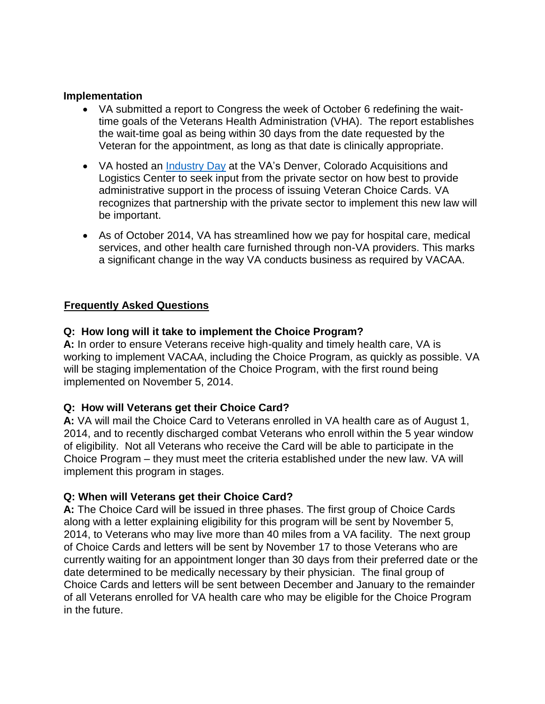#### **Implementation**

- VA submitted a report to Congress the week of October 6 redefining the waittime goals of the Veterans Health Administration (VHA). The report establishes the wait-time goal as being within 30 days from the date requested by the Veteran for the appointment, as long as that date is clinically appropriate.
- VA hosted an [Industry Day](http://www.va.gov/opa/pressrel/pressrelease.cfm?id=2629) at the VA's Denver, Colorado Acquisitions and Logistics Center to seek input from the private sector on how best to provide administrative support in the process of issuing Veteran Choice Cards. VA recognizes that partnership with the private sector to implement this new law will be important.
- As of October 2014, VA has streamlined how we pay for hospital care, medical services, and other health care furnished through non-VA providers. This marks a significant change in the way VA conducts business as required by VACAA.

### **Frequently Asked Questions**

#### **Q: How long will it take to implement the Choice Program?**

**A:** In order to ensure Veterans receive high-quality and timely health care, VA is working to implement VACAA, including the Choice Program, as quickly as possible. VA will be staging implementation of the Choice Program, with the first round being implemented on November 5, 2014.

#### **Q: How will Veterans get their Choice Card?**

**A:** VA will mail the Choice Card to Veterans enrolled in VA health care as of August 1, 2014, and to recently discharged combat Veterans who enroll within the 5 year window of eligibility. Not all Veterans who receive the Card will be able to participate in the Choice Program – they must meet the criteria established under the new law. VA will implement this program in stages.

#### **Q: When will Veterans get their Choice Card?**

**A:** The Choice Card will be issued in three phases. The first group of Choice Cards along with a letter explaining eligibility for this program will be sent by November 5, 2014, to Veterans who may live more than 40 miles from a VA facility. The next group of Choice Cards and letters will be sent by November 17 to those Veterans who are currently waiting for an appointment longer than 30 days from their preferred date or the date determined to be medically necessary by their physician. The final group of Choice Cards and letters will be sent between December and January to the remainder of all Veterans enrolled for VA health care who may be eligible for the Choice Program in the future.